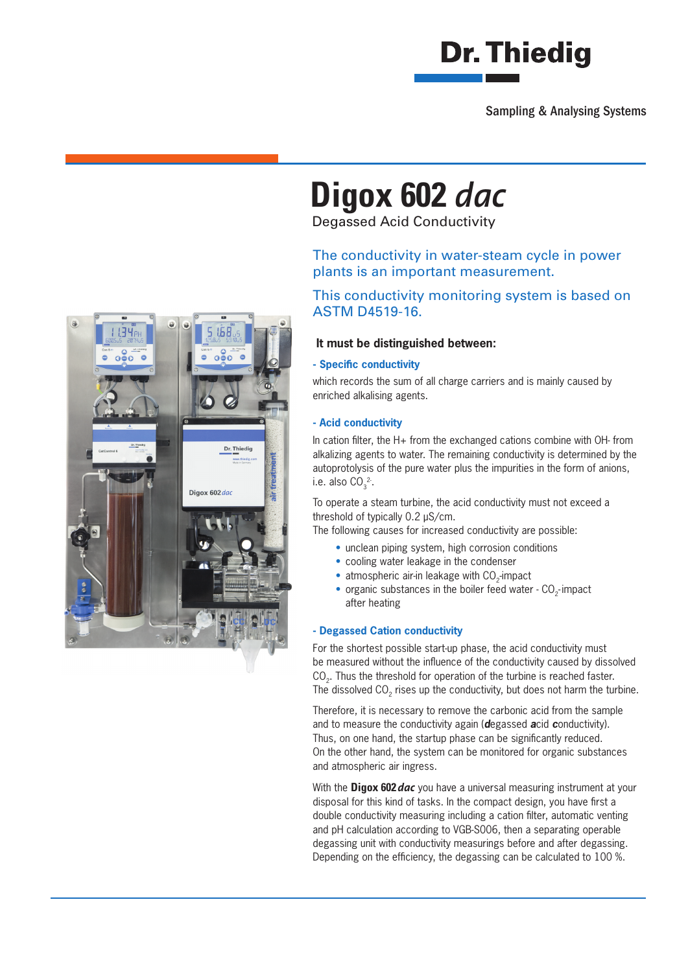

Sampling & Analysing Systems

# **Digox 602** *dac*

Degassed Acid Conductivity

### The conductivity in water-steam cycle in power plants is an important measurement.

### This conductivity monitoring system is based on ASTM D4519-16.

#### **It must be distinguished between:**

#### **- Specific conductivity**

which records the sum of all charge carriers and is mainly caused by enriched alkalising agents.

#### **- Acid conductivity**

In cation filter, the  $H+$  from the exchanged cations combine with OH- from alkalizing agents to water. The remaining conductivity is determined by the autoprotolysis of the pure water plus the impurities in the form of anions, i.e. also  $CO<sub>3</sub><sup>2</sup>$ .

To operate a steam turbine, the acid conductivity must not exceed a threshold of typically 0.2 µS/cm.

The following causes for increased conductivity are possible:

- unclean piping system, high corrosion conditions
- cooling water leakage in the condenser
- atmospheric air-in leakage with CO<sub>2</sub>-impact
- organic substances in the boiler feed water  $CO<sub>2</sub>$  impact after heating

#### **- Degassed Cation conductivity**

For the shortest possible start-up phase, the acid conductivity must be measured without the influence of the conductivity caused by dissolved CO<sub>2</sub>. Thus the threshold for operation of the turbine is reached faster. The dissolved CO<sub>2</sub> rises up the conductivity, but does not harm the turbine.

Therefore, it is necessary to remove the carbonic acid from the sample and to measure the conductivity again (*d*egassed *a*cid *c*onductivity). Thus, on one hand, the startup phase can be significantly reduced. On the other hand, the system can be monitored for organic substances and atmospheric air ingress.

With the **Digox 602***dac* you have a universal measuring instrument at your disposal for this kind of tasks. In the compact design, you have first a double conductivity measuring including a cation filter, automatic venting and pH calculation according to VGB-S006, then a separating operable degassing unit with conductivity measurings before and after degassing. Depending on the efficiency, the degassing can be calculated to 100 %.